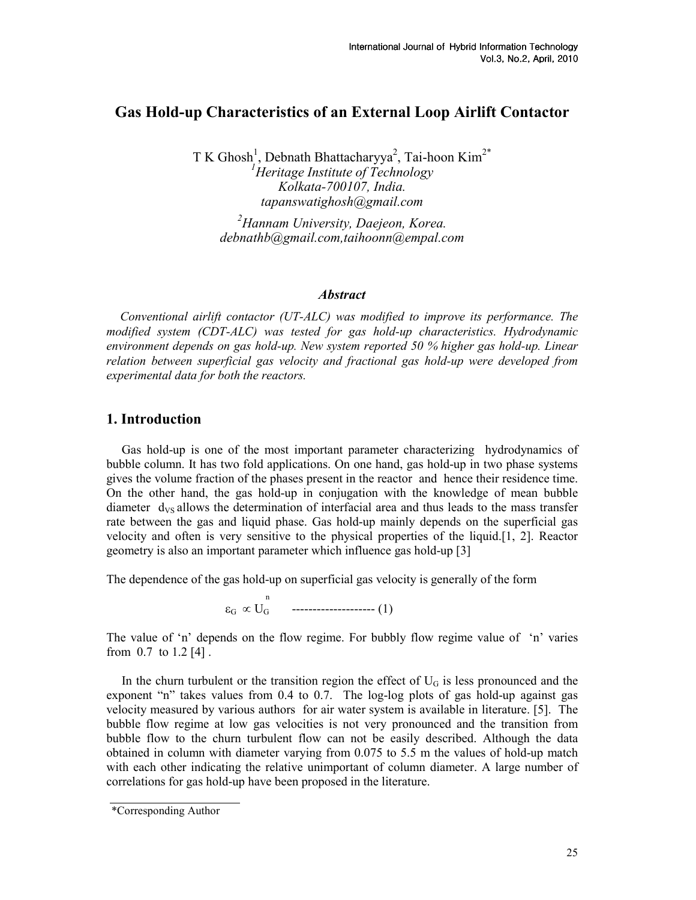## Gas Hold-up Characteristics of an External Loop Airlift Contactor

 $T K Ghosh<sup>1</sup>, Debnath Bhattacharyya<sup>2</sup>, Tai-hoon Kim<sup>2*</sup>$  ${}^{1}$ Heritage Institute of Technology Kolkata-700107, India. tapanswatighosh@gmail.com

 $^{2}$ Hannam University, Daejeon, Korea. debnathb@gmail.com,taihoonn@empal.com

#### **Abstract**

Conventional airlift contactor (UT-ALC) was modified to improve its performance. The modified system (CDT-ALC) was tested for gas hold-up characteristics. Hydrodynamic environment depends on gas hold-up. New system reported 50 % higher gas hold-up. Linear relation between superficial gas velocity and fractional gas hold-up were developed from experimental data for both the reactors.

#### 1. Introduction

Gas hold-up is one of the most important parameter characterizing hydrodynamics of bubble column. It has two fold applications. On one hand, gas hold-up in two phase systems gives the volume fraction of the phases present in the reactor and hence their residence time. On the other hand, the gas hold-up in conjugation with the knowledge of mean bubble diameter  $d_{VS}$  allows the determination of interfacial area and thus leads to the mass transfer rate between the gas and liquid phase. Gas hold-up mainly depends on the superficial gas velocity and often is very sensitive to the physical properties of the liquid.[1, 2]. Reactor geometry is also an important parameter which influence gas hold-up [3]

The dependence of the gas hold-up on superficial gas velocity is generally of the form

 $\varepsilon_{\rm G} \propto U_{\rm G}$  ---------------------- (1)

The value of 'n' depends on the flow regime. For bubbly flow regime value of 'n' varies from 0.7 to 1.2 [4] .

In the churn turbulent or the transition region the effect of  $U_G$  is less pronounced and the exponent "n" takes values from 0.4 to 0.7. The log-log plots of gas hold-up against gas velocity measured by various authors for air water system is available in literature. [5]. The bubble flow regime at low gas velocities is not very pronounced and the transition from bubble flow to the churn turbulent flow can not be easily described. Although the data obtained in column with diameter varying from 0.075 to 5.5 m the values of hold-up match with each other indicating the relative unimportant of column diameter. A large number of correlations for gas hold-up have been proposed in the literature.

<sup>n</sup>

<sup>\*</sup>Corresponding Author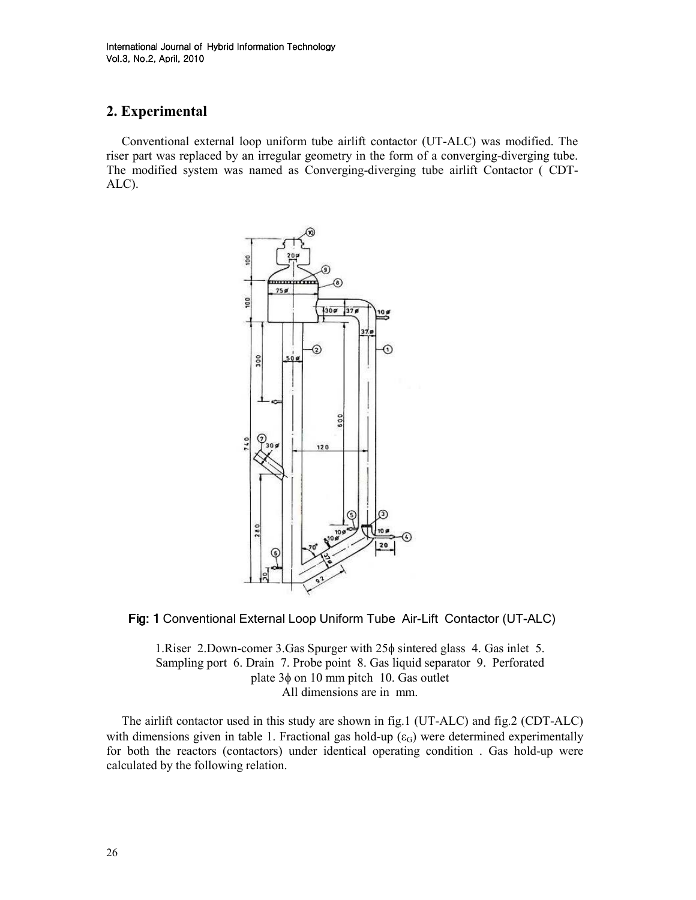# 2. Experimental

Conventional external loop uniform tube airlift contactor (UT-ALC) was modified. The riser part was replaced by an irregular geometry in the form of a converging-diverging tube. The modified system was named as Converging-diverging tube airlift Contactor ( CDT-ALC).





1.Riser 2.Down-comer 3.Gas Spurger with 25φ sintered glass 4. Gas inlet 5. Sampling port 6. Drain 7. Probe point 8. Gas liquid separator 9. Perforated plate 3φ on 10 mm pitch 10. Gas outlet All dimensions are in mm.

The airlift contactor used in this study are shown in fig.1 (UT-ALC) and fig.2 (CDT-ALC) with dimensions given in table 1. Fractional gas hold-up  $(\epsilon_G)$  were determined experimentally for both the reactors (contactors) under identical operating condition . Gas hold-up were calculated by the following relation.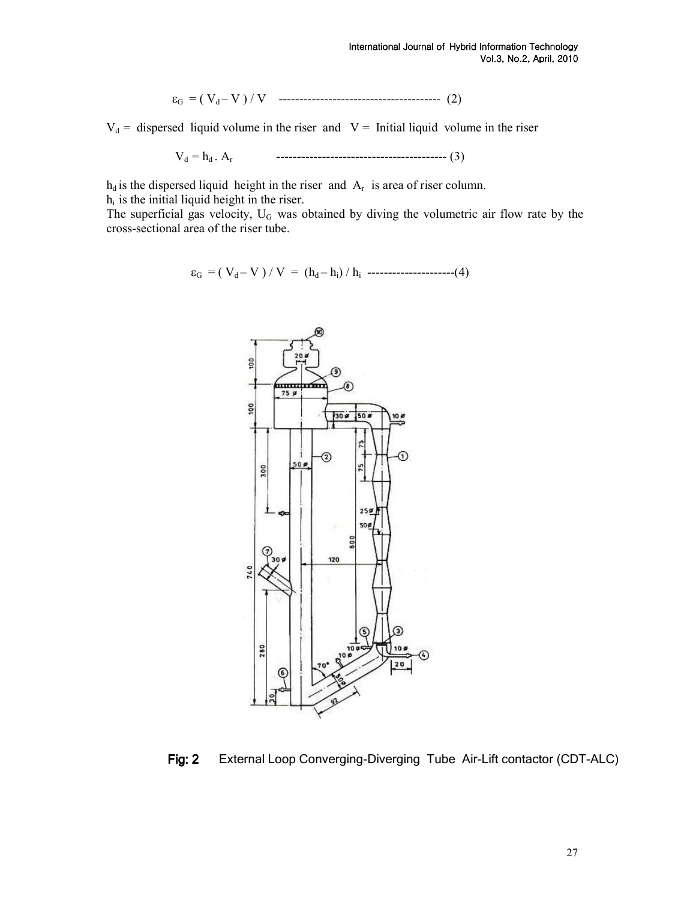$$
\varepsilon_{G} = (V_{d} - V) / V \quad \dots \dots \dots \dots \dots \dots \dots \dots \dots \dots \dots \dots \dots \dots \quad (2)
$$

 $V_d$  = dispersed liquid volume in the riser and  $V =$  Initial liquid volume in the riser

$$
V_d = h_d \cdot A_r \qquad \qquad \qquad \ldots \qquad \qquad \ldots \qquad \qquad (3)
$$

 $h_d$  is the dispersed liquid height in the riser and  $A_r$  is area of riser column.  $h_i$  is the initial liquid height in the riser.

The superficial gas velocity,  $U_G$  was obtained by diving the volumetric air flow rate by the cross-sectional area of the riser tube.

$$
\varepsilon_G = (V_d - V) / V = (h_d - h_i) / h_i
$$
 \n
$$
...
$$



Fig: 2 External Loop Converging-Diverging Tube Air-Lift contactor (CDT-ALC)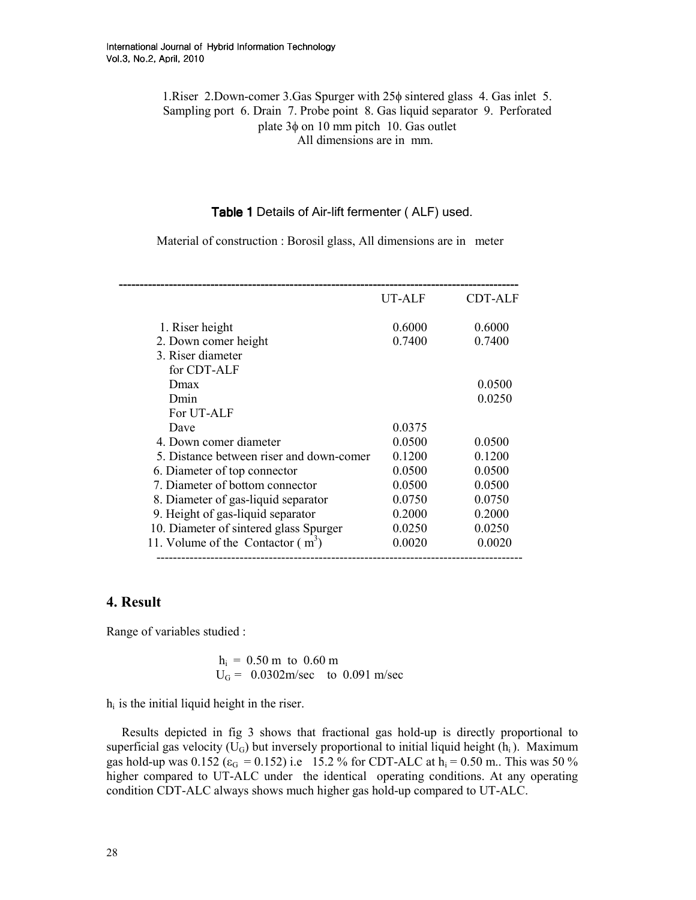1.Riser 2.Down-comer 3.Gas Spurger with 25φ sintered glass 4. Gas inlet 5. Sampling port 6. Drain 7. Probe point 8. Gas liquid separator 9. Perforated plate 3φ on 10 mm pitch 10. Gas outlet All dimensions are in mm.

### Table 1 Details of Air-lift fermenter (ALF) used.

Material of construction : Borosil glass, All dimensions are in meter

|                                          | UT-ALF | <b>CDT-ALF</b> |
|------------------------------------------|--------|----------------|
| 1. Riser height                          | 0.6000 | 0.6000         |
| 2. Down comer height                     | 0.7400 | 0.7400         |
| 3. Riser diameter                        |        |                |
| for CDT-ALF                              |        |                |
| Dmax                                     |        | 0.0500         |
| Dmin                                     |        | 0.0250         |
| For UT-ALF                               |        |                |
| Dave                                     | 0.0375 |                |
| 4. Down comer diameter                   | 0.0500 | 0.0500         |
| 5. Distance between riser and down-comer | 0.1200 | 0.1200         |
| 6. Diameter of top connector             | 0.0500 | 0.0500         |
| 7. Diameter of bottom connector          | 0.0500 | 0.0500         |
| 8. Diameter of gas-liquid separator      | 0.0750 | 0.0750         |
| 9. Height of gas-liquid separator        | 0.2000 | 0.2000         |
| 10. Diameter of sintered glass Spurger   | 0.0250 | 0.0250         |
| 11. Volume of the Contactor $(m^3)$      | 0.0020 | 0.0020         |

## 4. Result

Range of variables studied :

 $h_i = 0.50$  m to  $0.60$  m  $U_G = 0.0302 \text{m/sec}$  to 0.091 m/sec

 $h_i$  is the initial liquid height in the riser.

Results depicted in fig 3 shows that fractional gas hold-up is directly proportional to superficial gas velocity  $(U_G)$  but inversely proportional to initial liquid height  $(h_i)$ . Maximum gas hold-up was  $0.152$  ( $\varepsilon_G = 0.152$ ) i.e 15.2 % for CDT-ALC at  $h_i = 0.50$  m.. This was 50 % higher compared to UT-ALC under the identical operating conditions. At any operating condition CDT-ALC always shows much higher gas hold-up compared to UT-ALC.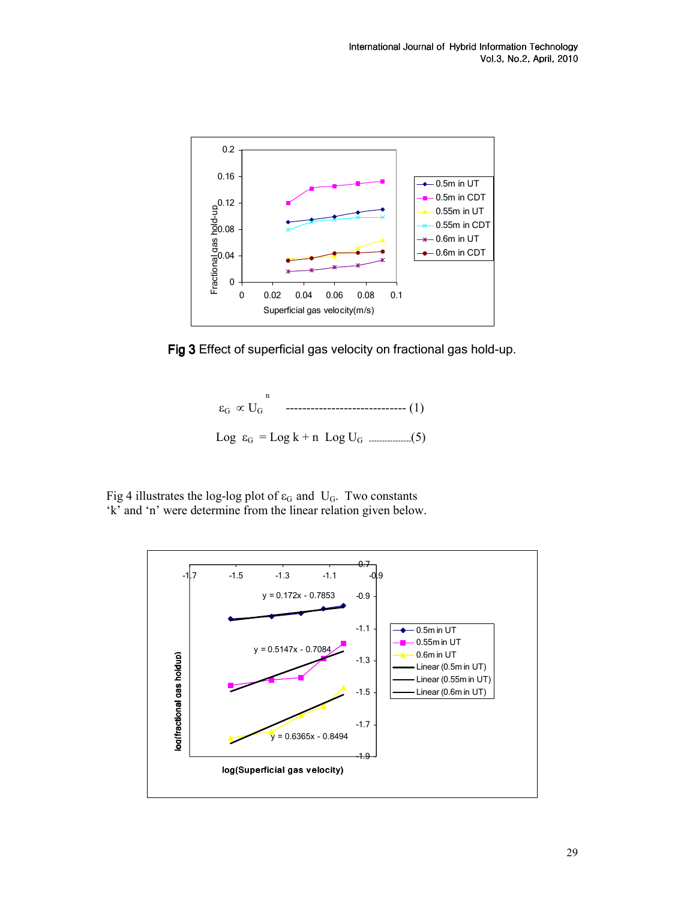

Fig 3 Effect of superficial gas velocity on fractional gas hold-up.



Fig 4 illustrates the log-log plot of  $\varepsilon_G$  and U<sub>G</sub>. Two constants 'k' and 'n' were determine from the linear relation given below.

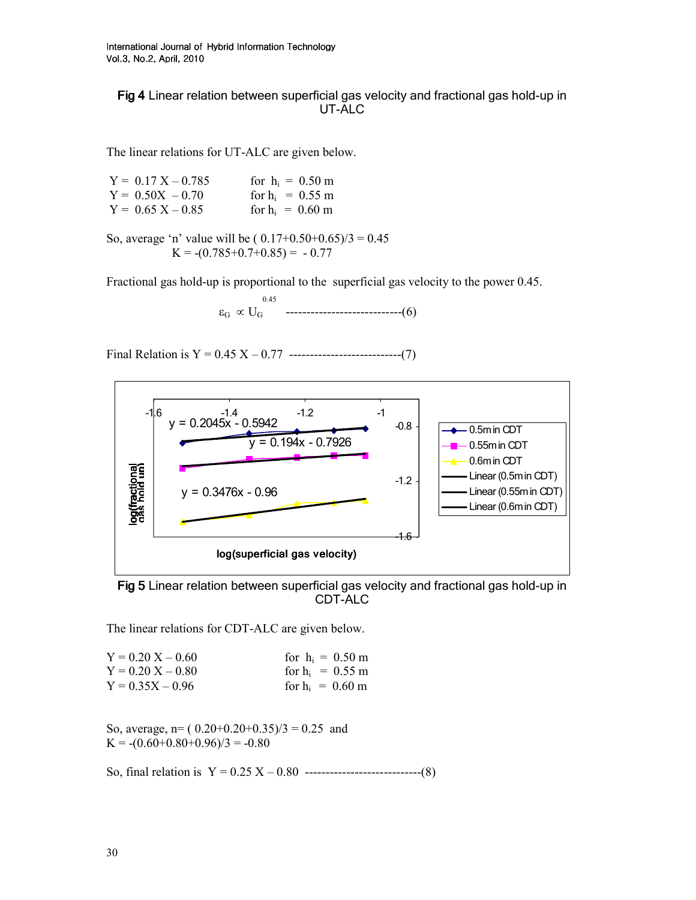Fig 4 Linear relation between superficial gas velocity and fractional gas hold-up in UT-ALC

The linear relations for UT-ALC are given below.

| $Y = 0.17 X - 0.785$ | for $h_i = 0.50$ m |
|----------------------|--------------------|
| $Y = 0.50X - 0.70$   | for $h_i = 0.55$ m |
| $Y = 0.65 X - 0.85$  | for $h_i = 0.60$ m |

So, average 'n' value will be  $(0.17+0.50+0.65)/3 = 0.45$  $K = -(0.785+0.7+0.85) = -0.77$ 

Fractional gas hold-up is proportional to the superficial gas velocity to the power 0.45.

 0.45  $\varepsilon_{\rm G} \propto U_{\rm G}$  ---------------------------------(6)

Final Relation is  $Y = 0.45 X - 0.77$  -------------------------------(7)



Fig 5 Linear relation between superficial gas velocity and fractional gas hold-up in CDT-ALC

The linear relations for CDT-ALC are given below.

| $Y = 0.20 X - 0.60$ | for $h_i = 0.50$ m |
|---------------------|--------------------|
| $Y = 0.20 X - 0.80$ | for $h_i = 0.55$ m |
| $Y = 0.35X - 0.96$  | for $h_i = 0.60$ m |

So, average,  $n = (0.20+0.20+0.35)/3 = 0.25$  and  $K = -(0.60+0.80+0.96)/3 = -0.80$ 

So, final relation is  $Y = 0.25 X - 0.80$  --------------------------------(8)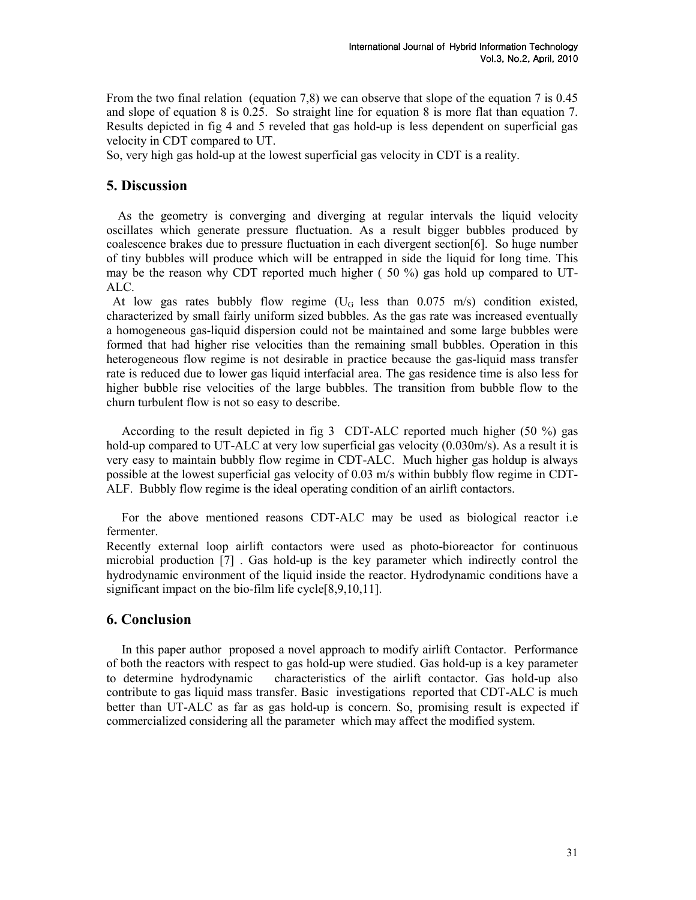From the two final relation (equation 7,8) we can observe that slope of the equation 7 is 0.45 and slope of equation 8 is 0.25. So straight line for equation 8 is more flat than equation 7. Results depicted in fig 4 and 5 reveled that gas hold-up is less dependent on superficial gas velocity in CDT compared to UT.

So, very high gas hold-up at the lowest superficial gas velocity in CDT is a reality.

## 5. Discussion

 As the geometry is converging and diverging at regular intervals the liquid velocity oscillates which generate pressure fluctuation. As a result bigger bubbles produced by coalescence brakes due to pressure fluctuation in each divergent section[6]. So huge number of tiny bubbles will produce which will be entrapped in side the liquid for long time. This may be the reason why CDT reported much higher ( 50 %) gas hold up compared to UT-ALC.

At low gas rates bubbly flow regime ( $U_G$  less than 0.075 m/s) condition existed, characterized by small fairly uniform sized bubbles. As the gas rate was increased eventually a homogeneous gas-liquid dispersion could not be maintained and some large bubbles were formed that had higher rise velocities than the remaining small bubbles. Operation in this heterogeneous flow regime is not desirable in practice because the gas-liquid mass transfer rate is reduced due to lower gas liquid interfacial area. The gas residence time is also less for higher bubble rise velocities of the large bubbles. The transition from bubble flow to the churn turbulent flow is not so easy to describe.

According to the result depicted in fig 3 CDT-ALC reported much higher (50 %) gas hold-up compared to UT-ALC at very low superficial gas velocity (0.030m/s). As a result it is very easy to maintain bubbly flow regime in CDT-ALC. Much higher gas holdup is always possible at the lowest superficial gas velocity of 0.03 m/s within bubbly flow regime in CDT-ALF. Bubbly flow regime is the ideal operating condition of an airlift contactors.

For the above mentioned reasons CDT-ALC may be used as biological reactor i.e fermenter.

Recently external loop airlift contactors were used as photo-bioreactor for continuous microbial production [7] . Gas hold-up is the key parameter which indirectly control the hydrodynamic environment of the liquid inside the reactor. Hydrodynamic conditions have a significant impact on the bio-film life cycle<sup>[8,9,10,11]</sup>.

### 6. Conclusion

In this paper author proposed a novel approach to modify airlift Contactor. Performance of both the reactors with respect to gas hold-up were studied. Gas hold-up is a key parameter to determine hydrodynamic characteristics of the airlift contactor. Gas hold-up also contribute to gas liquid mass transfer. Basic investigations reported that CDT-ALC is much better than UT-ALC as far as gas hold-up is concern. So, promising result is expected if commercialized considering all the parameter which may affect the modified system.